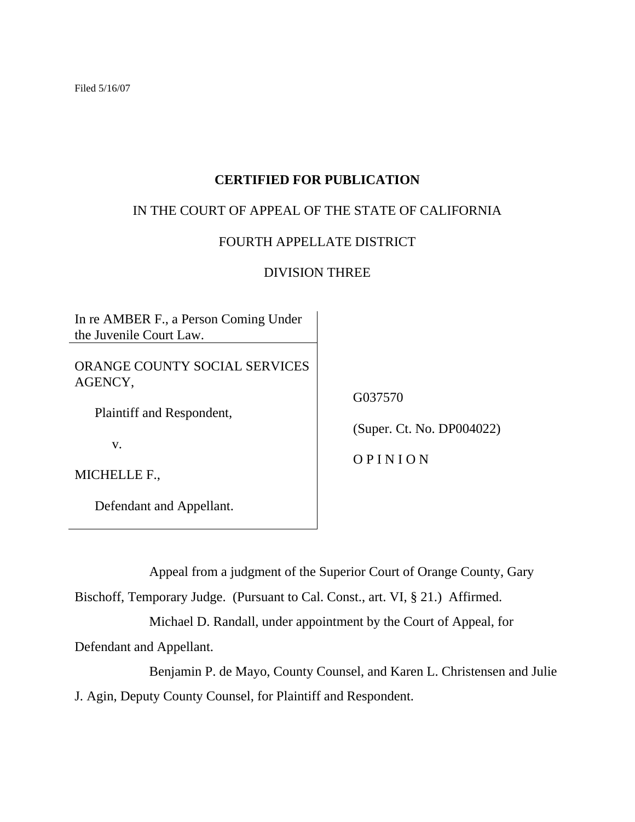Filed 5/16/07

## **CERTIFIED FOR PUBLICATION**

## IN THE COURT OF APPEAL OF THE STATE OF CALIFORNIA

## FOURTH APPELLATE DISTRICT

## DIVISION THREE

In re AMBER F., a Person Coming Under the Juvenile Court Law.

ORANGE COUNTY SOCIAL SERVICES AGENCY,

Plaintiff and Respondent,

v.

MICHELLE F.,

Defendant and Appellant.

G037570

(Super. Ct. No. DP004022)

O P I N I O N

Appeal from a judgment of the Superior Court of Orange County, Gary

Bischoff, Temporary Judge. (Pursuant to Cal. Const., art. VI, § 21.) Affirmed.

Michael D. Randall, under appointment by the Court of Appeal, for

Defendant and Appellant.

 Benjamin P. de Mayo, County Counsel, and Karen L. Christensen and Julie J. Agin, Deputy County Counsel, for Plaintiff and Respondent.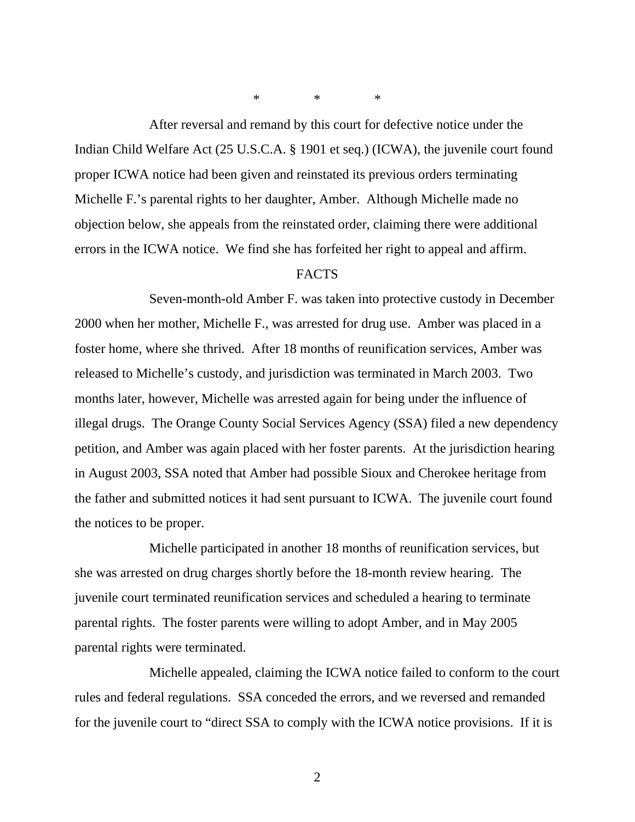\* \* \*

 After reversal and remand by this court for defective notice under the Indian Child Welfare Act (25 U.S.C.A. § 1901 et seq.) (ICWA), the juvenile court found proper ICWA notice had been given and reinstated its previous orders terminating Michelle F.'s parental rights to her daughter, Amber. Although Michelle made no objection below, she appeals from the reinstated order, claiming there were additional errors in the ICWA notice. We find she has forfeited her right to appeal and affirm.

### FACTS

 Seven-month-old Amber F. was taken into protective custody in December 2000 when her mother, Michelle F., was arrested for drug use. Amber was placed in a foster home, where she thrived. After 18 months of reunification services, Amber was released to Michelle's custody, and jurisdiction was terminated in March 2003. Two months later, however, Michelle was arrested again for being under the influence of illegal drugs. The Orange County Social Services Agency (SSA) filed a new dependency petition, and Amber was again placed with her foster parents. At the jurisdiction hearing in August 2003, SSA noted that Amber had possible Sioux and Cherokee heritage from the father and submitted notices it had sent pursuant to ICWA. The juvenile court found the notices to be proper.

 Michelle participated in another 18 months of reunification services, but she was arrested on drug charges shortly before the 18-month review hearing. The juvenile court terminated reunification services and scheduled a hearing to terminate parental rights. The foster parents were willing to adopt Amber, and in May 2005 parental rights were terminated.

 Michelle appealed, claiming the ICWA notice failed to conform to the court rules and federal regulations. SSA conceded the errors, and we reversed and remanded for the juvenile court to "direct SSA to comply with the ICWA notice provisions. If it is

2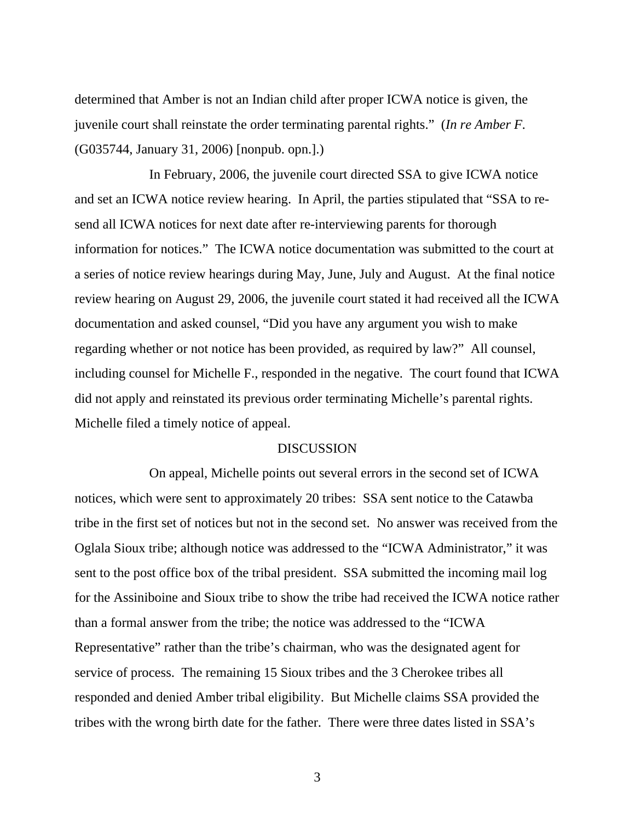determined that Amber is not an Indian child after proper ICWA notice is given, the juvenile court shall reinstate the order terminating parental rights." (*In re Amber F.* (G035744, January 31, 2006) [nonpub. opn.].)

 In February, 2006, the juvenile court directed SSA to give ICWA notice and set an ICWA notice review hearing. In April, the parties stipulated that "SSA to resend all ICWA notices for next date after re-interviewing parents for thorough information for notices." The ICWA notice documentation was submitted to the court at a series of notice review hearings during May, June, July and August. At the final notice review hearing on August 29, 2006, the juvenile court stated it had received all the ICWA documentation and asked counsel, "Did you have any argument you wish to make regarding whether or not notice has been provided, as required by law?" All counsel, including counsel for Michelle F., responded in the negative. The court found that ICWA did not apply and reinstated its previous order terminating Michelle's parental rights. Michelle filed a timely notice of appeal.

#### DISCUSSION

 On appeal, Michelle points out several errors in the second set of ICWA notices, which were sent to approximately 20 tribes: SSA sent notice to the Catawba tribe in the first set of notices but not in the second set. No answer was received from the Oglala Sioux tribe; although notice was addressed to the "ICWA Administrator," it was sent to the post office box of the tribal president. SSA submitted the incoming mail log for the Assiniboine and Sioux tribe to show the tribe had received the ICWA notice rather than a formal answer from the tribe; the notice was addressed to the "ICWA Representative" rather than the tribe's chairman, who was the designated agent for service of process. The remaining 15 Sioux tribes and the 3 Cherokee tribes all responded and denied Amber tribal eligibility. But Michelle claims SSA provided the tribes with the wrong birth date for the father. There were three dates listed in SSA's

3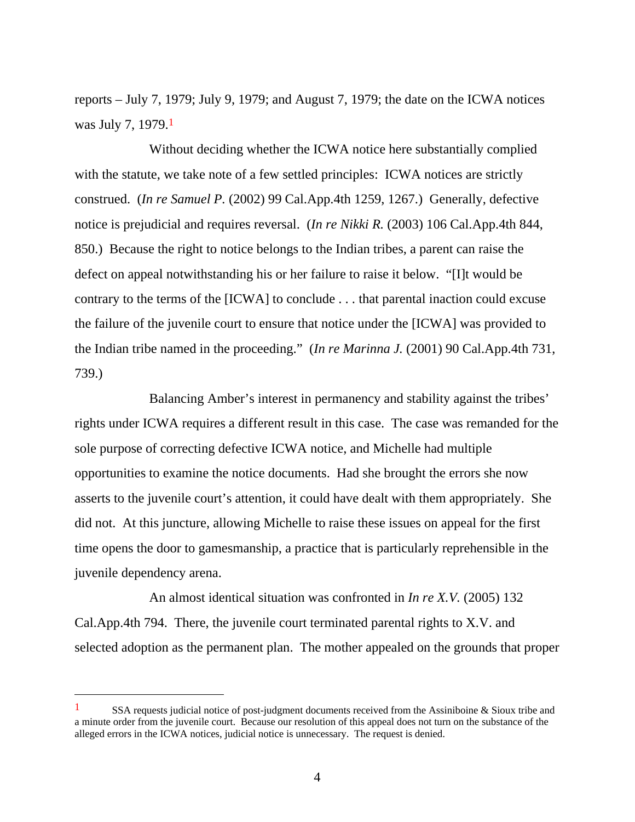reports – July 7, 1979; July 9, 1979; and August 7, 1979; the date on the ICWA notices was July 7, 1979.1

 Without deciding whether the ICWA notice here substantially complied with the statute, we take note of a few settled principles: ICWA notices are strictly construed. (*In re Samuel P.* (2002) 99 Cal.App.4th 1259, 1267.) Generally, defective notice is prejudicial and requires reversal. (*In re Nikki R.* (2003) 106 Cal.App.4th 844, 850.) Because the right to notice belongs to the Indian tribes, a parent can raise the defect on appeal notwithstanding his or her failure to raise it below. "[I]t would be contrary to the terms of the [ICWA] to conclude . . . that parental inaction could excuse the failure of the juvenile court to ensure that notice under the [ICWA] was provided to the Indian tribe named in the proceeding." (*In re Marinna J.* (2001) 90 Cal.App.4th 731, 739.)

 Balancing Amber's interest in permanency and stability against the tribes' rights under ICWA requires a different result in this case. The case was remanded for the sole purpose of correcting defective ICWA notice, and Michelle had multiple opportunities to examine the notice documents. Had she brought the errors she now asserts to the juvenile court's attention, it could have dealt with them appropriately. She did not. At this juncture, allowing Michelle to raise these issues on appeal for the first time opens the door to gamesmanship, a practice that is particularly reprehensible in the juvenile dependency arena.

 An almost identical situation was confronted in *In re X.V.* (2005) 132 Cal.App.4th 794. There, the juvenile court terminated parental rights to X.V. and selected adoption as the permanent plan. The mother appealed on the grounds that proper

 $\overline{a}$ 

<sup>1</sup> SSA requests judicial notice of post-judgment documents received from the Assiniboine & Sioux tribe and a minute order from the juvenile court. Because our resolution of this appeal does not turn on the substance of the alleged errors in the ICWA notices, judicial notice is unnecessary. The request is denied.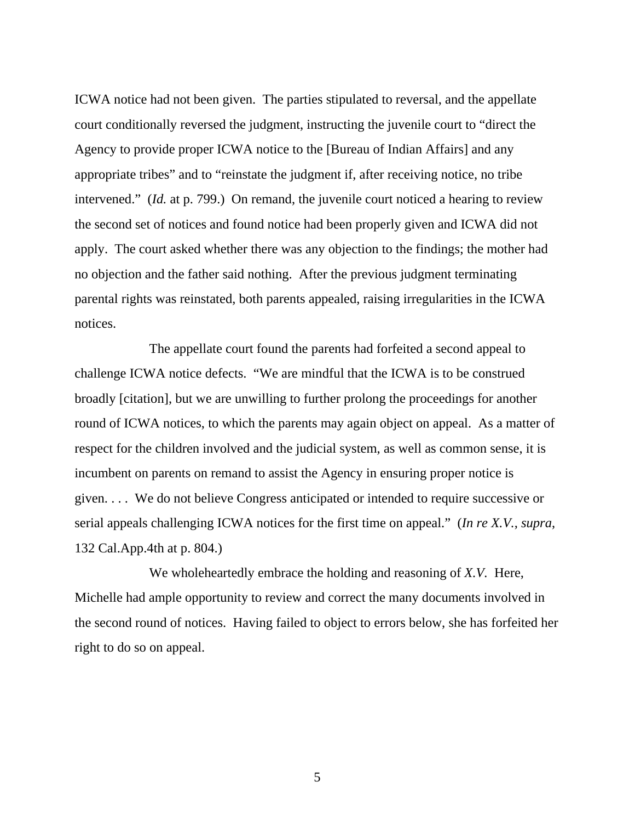ICWA notice had not been given. The parties stipulated to reversal, and the appellate court conditionally reversed the judgment, instructing the juvenile court to "direct the Agency to provide proper ICWA notice to the [Bureau of Indian Affairs] and any appropriate tribes" and to "reinstate the judgment if, after receiving notice, no tribe intervened." *(Id.* at p. 799.) On remand, the juvenile court noticed a hearing to review the second set of notices and found notice had been properly given and ICWA did not apply. The court asked whether there was any objection to the findings; the mother had no objection and the father said nothing. After the previous judgment terminating parental rights was reinstated, both parents appealed, raising irregularities in the ICWA notices.

 The appellate court found the parents had forfeited a second appeal to challenge ICWA notice defects. "We are mindful that the ICWA is to be construed broadly [citation], but we are unwilling to further prolong the proceedings for another round of ICWA notices, to which the parents may again object on appeal. As a matter of respect for the children involved and the judicial system, as well as common sense, it is incumbent on parents on remand to assist the Agency in ensuring proper notice is given. . . . We do not believe Congress anticipated or intended to require successive or serial appeals challenging ICWA notices for the first time on appeal." (*In re X.V.*, *supra*, 132 Cal.App.4th at p. 804.)

 We wholeheartedly embrace the holding and reasoning of *X.V.* Here, Michelle had ample opportunity to review and correct the many documents involved in the second round of notices. Having failed to object to errors below, she has forfeited her right to do so on appeal.

5